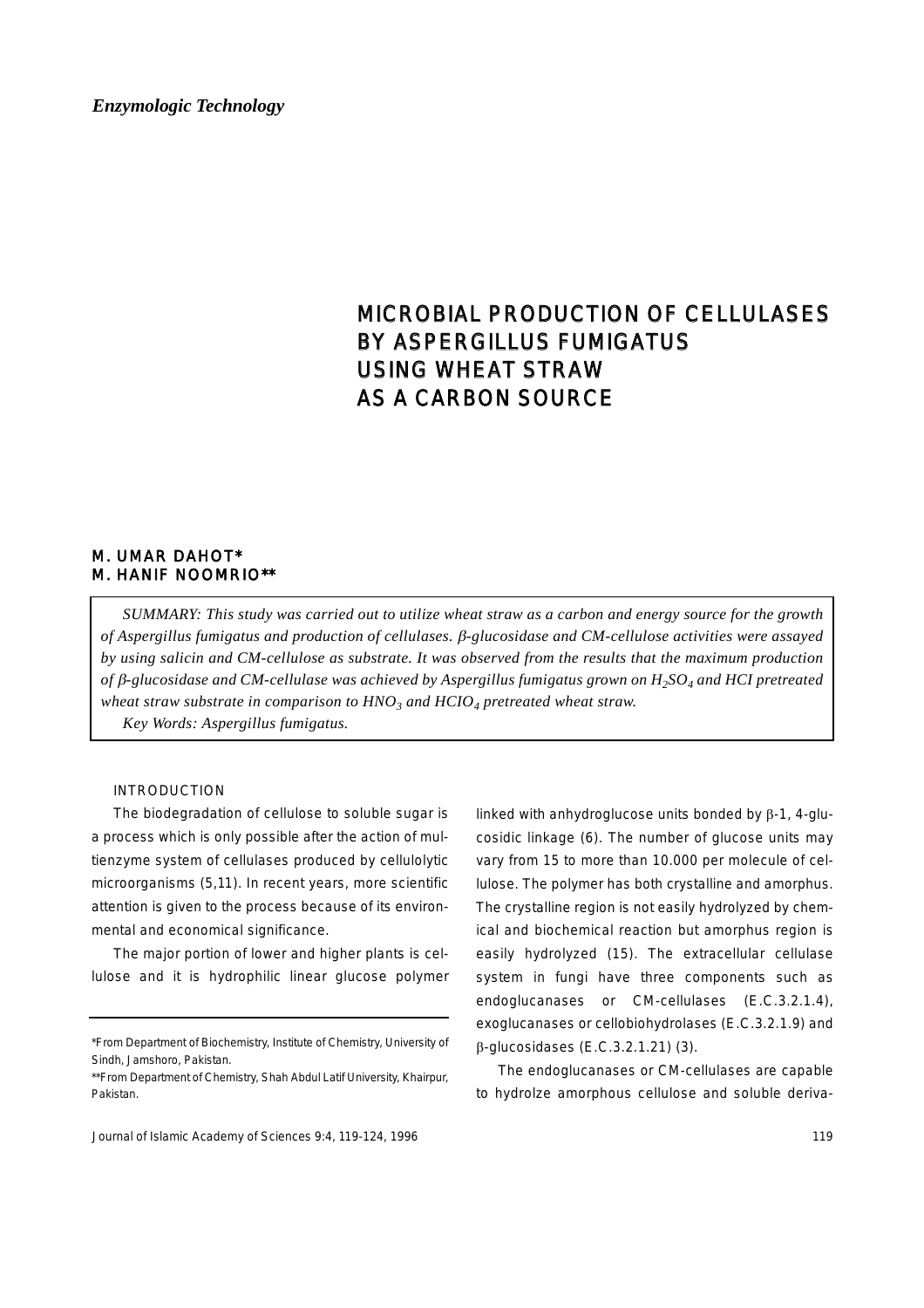# MICROBIAL PRODUCTION OF CELLULASES BY ASPERGILLUS FUMIGATUS USING WHEAT STRAW AS A CARBON SOURCE

# M. UMAR DAHOT\* M. HANIF NOOMRIO\*\*

*SUMMARY: This study was carried out to utilize wheat straw as a carbon and energy source for the growth of Aspergillus fumigatus and production of cellulases.* β*-glucosidase and CM-cellulose activities were assayed by using salicin and CM-cellulose as substrate. It was observed from the results that the maximum production of* β*-glucosidase and CM-cellulase was achieved by Aspergillus fumigatus grown on H2SO4 and HCI pretreated wheat straw substrate in comparison to HNO<sub>3</sub> and HCIO<sub>4</sub> pretreated wheat straw.* 

*Key Words: Aspergillus fumigatus.*

# INTRODUCTION

The biodegradation of cellulose to soluble sugar is a process which is only possible after the action of multienzyme system of cellulases produced by cellulolytic microorganisms (5,11). In recent years, more scientific attention is given to the process because of its environmental and economical significance.

The major portion of lower and higher plants is cellulose and it is hydrophilic linear glucose polymer linked with anhydroglucose units bonded by β-1, 4-glucosidic linkage (6). The number of glucose units may vary from 15 to more than 10.000 per molecule of cellulose. The polymer has both crystalline and amorphus. The crystalline region is not easily hydrolyzed by chemical and biochemical reaction but amorphus region is easily hydrolyzed (15). The extracellular cellulase system in fungi have three components such as endoglucanases or CM-cellulases (E.C.3.2.1.4), exoglucanases or cellobiohydrolases (E.C.3.2.1.9) and β-glucosidases (E.C.3.2.1.21) (3).

The endoglucanases or CM-cellulases are capable to hydrolze amorphous cellulose and soluble deriva-

<sup>\*</sup>From Department of Biochemistry, Institute of Chemistry, University of Sindh, Jamshoro, Pakistan.

<sup>\*\*</sup>From Department of Chemistry, Shah Abdul Latif University, Khairpur, Pakistan.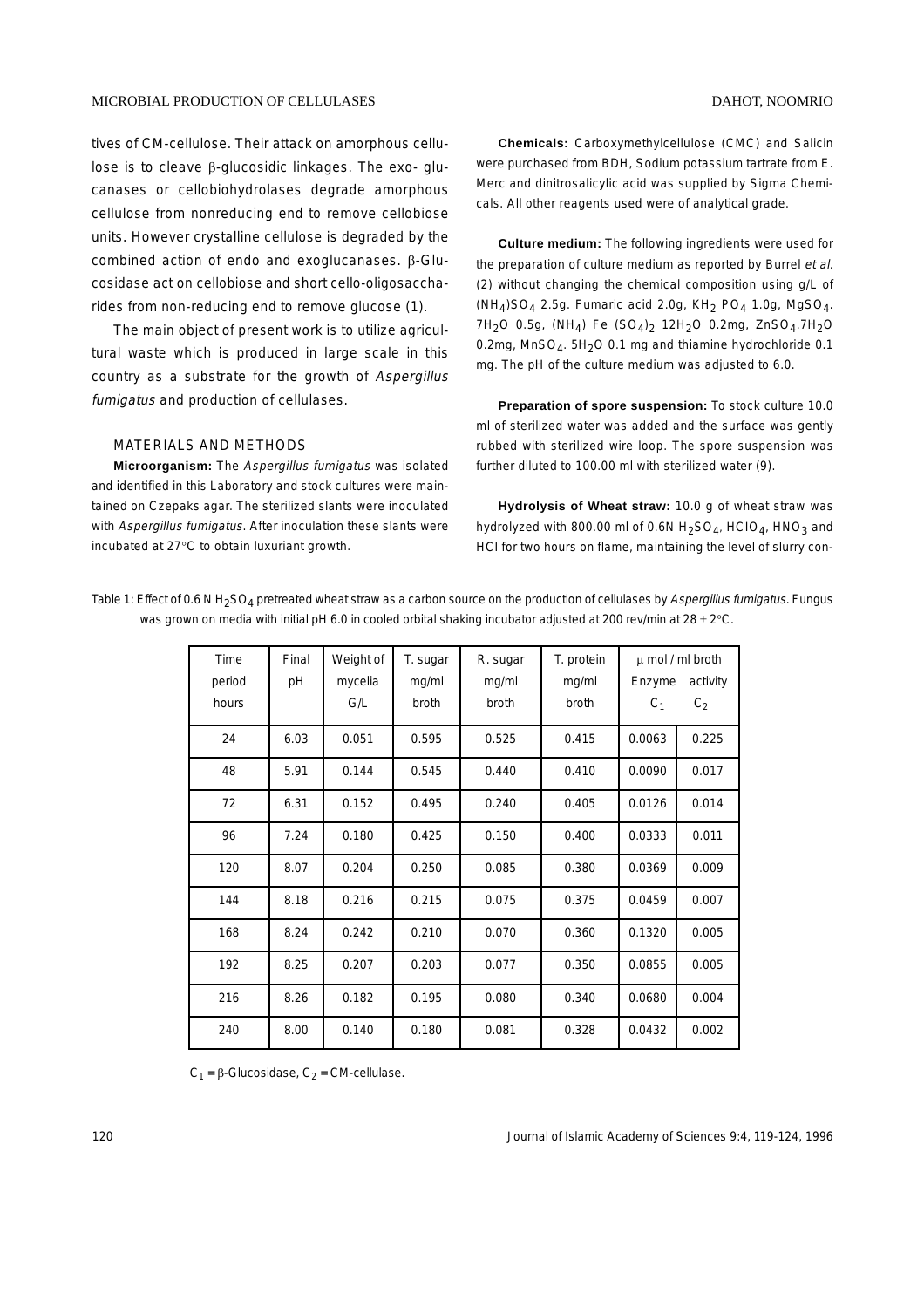tives of CM-cellulose. Their attack on amorphous cellulose is to cleave β-glucosidic linkages. The exo- glucanases or cellobiohydrolases degrade amorphous cellulose from nonreducing end to remove cellobiose units. However crystalline cellulose is degraded by the combined action of endo and exoglucanases. β-Glucosidase act on cellobiose and short cello-oligosaccharides from non-reducing end to remove glucose (1).

The main object of present work is to utilize agricultural waste which is produced in large scale in this country as a substrate for the growth of Aspergillus fumigatus and production of cellulases.

## MATERIALS AND METHODS

**Microorganism:** The Aspergillus fumigatus was isolated and identified in this Laboratory and stock cultures were maintained on Czepaks agar. The sterilized slants were inoculated with Aspergillus fumigatus. After inoculation these slants were incubated at 27°C to obtain luxuriant growth.

**Chemicals:** Carboxymethylcellulose (CMC) and Salicin were purchased from BDH, Sodium potassium tartrate from E. Merc and dinitrosalicylic acid was supplied by Sigma Chemicals. All other reagents used were of analytical grade.

**Culture medium:** The following ingredients were used for the preparation of culture medium as reported by Burrel et al. (2) without changing the chemical composition using g/L of  $(NH<sub>4</sub>)SO<sub>4</sub>$  2.5g. Fumaric acid 2.0g, KH<sub>2</sub> PO<sub>4</sub> 1.0g, MgSO<sub>4</sub>. 7H<sub>2</sub>O 0.5g, (NH<sub>4</sub>) Fe  $(SO_4)_2$  12H<sub>2</sub>O 0.2mg, ZnSO<sub>4</sub>.7H<sub>2</sub>O 0.2mg, MnSO<sub>4</sub>. 5H<sub>2</sub>O 0.1 mg and thiamine hydrochloride 0.1 mg. The pH of the culture medium was adjusted to 6.0.

**Preparation of spore suspension:** To stock culture 10.0 ml of sterilized water was added and the surface was gently rubbed with sterilized wire loop. The spore suspension was further diluted to 100.00 ml with sterilized water (9).

**Hydrolysis of Wheat straw:** 10.0 g of wheat straw was hydrolyzed with 800.00 ml of 0.6N  $H_2SO_4$ , HCIO<sub>4</sub>, HNO<sub>3</sub> and HCI for two hours on flame, maintaining the level of slurry con-

Table 1: Effect of 0.6 N H<sub>2</sub>SO<sub>4</sub> pretreated wheat straw as a carbon source on the production of cellulases by Aspergillus fumigatus. Fungus was grown on media with initial pH 6.0 in cooled orbital shaking incubator adjusted at 200 rev/min at 28 ± 2°C.

| Time   | Final | Weight of | T. sugar | R. sugar | T. protein |         | $\mu$ mol / ml broth |
|--------|-------|-----------|----------|----------|------------|---------|----------------------|
| period | pH    | mycelia   | mg/ml    | mg/ml    | mg/ml      | Enzyme  | activity             |
| hours  |       | G/L       | broth    | broth    | broth      | $C_{1}$ | $C_2$                |
| 24     | 6.03  | 0.051     | 0.595    | 0.525    | 0.415      | 0.0063  | 0.225                |
| 48     | 5.91  | 0.144     | 0.545    | 0.440    | 0.410      | 0.0090  | 0.017                |
| 72     | 6.31  | 0.152     | 0.495    | 0.240    | 0.405      | 0.0126  | 0.014                |
| 96     | 7.24  | 0.180     | 0.425    | 0.150    | 0.400      | 0.0333  | 0.011                |
| 120    | 8.07  | 0.204     | 0.250    | 0.085    | 0.380      | 0.0369  | 0.009                |
| 144    | 8.18  | 0.216     | 0.215    | 0.075    | 0.375      | 0.0459  | 0.007                |
| 168    | 8.24  | 0.242     | 0.210    | 0.070    | 0.360      | 0.1320  | 0.005                |
| 192    | 8.25  | 0.207     | 0.203    | 0.077    | 0.350      | 0.0855  | 0.005                |
| 216    | 8.26  | 0.182     | 0.195    | 0.080    | 0.340      | 0.0680  | 0.004                |
| 240    | 8.00  | 0.140     | 0.180    | 0.081    | 0.328      | 0.0432  | 0.002                |

 $C_1$  = β-Glucosidase,  $C_2$  = CM-cellulase.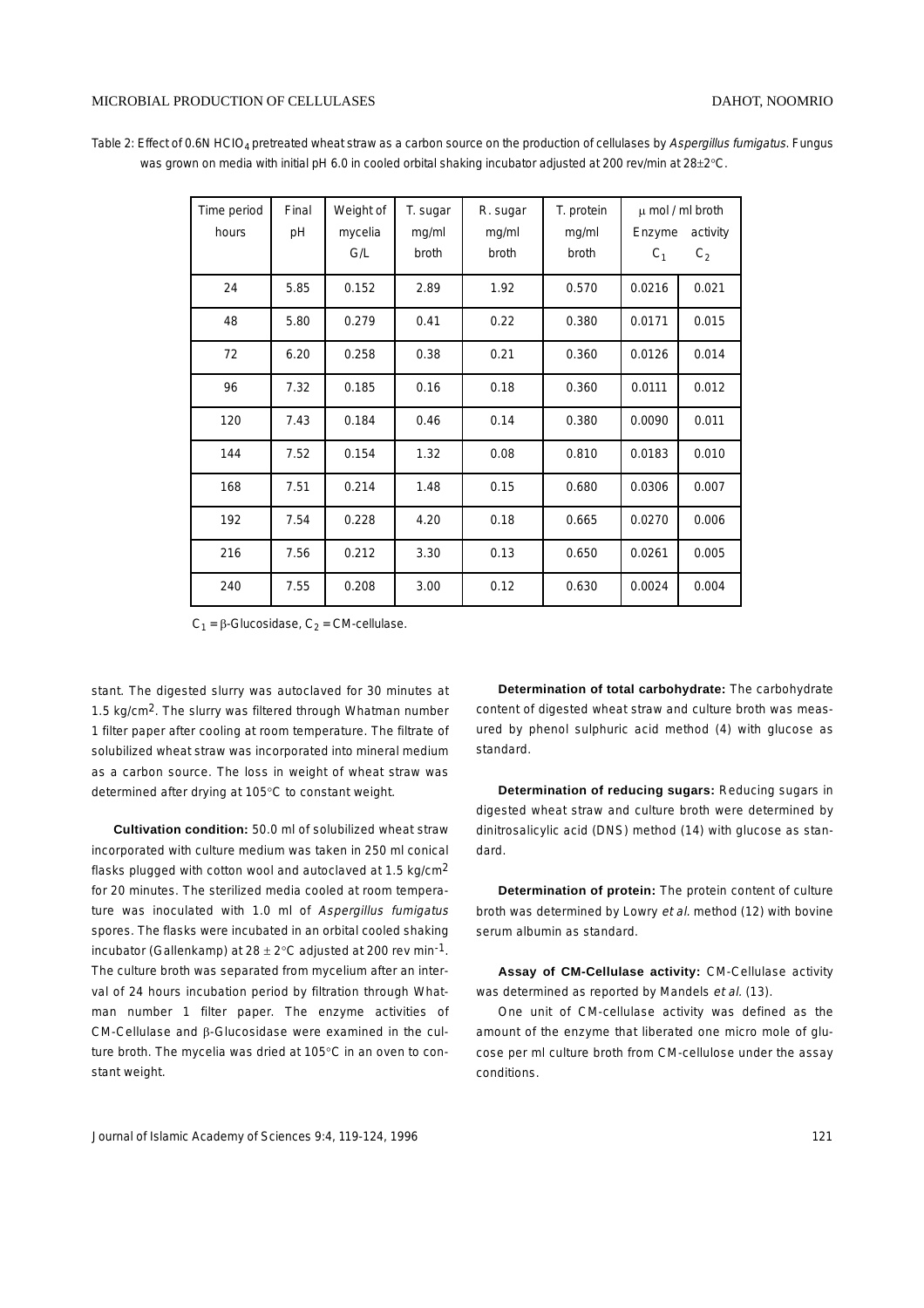Table 2: Effect of 0.6N HCIO<sub>4</sub> pretreated wheat straw as a carbon source on the production of cellulases by Aspergillus fumigatus. Fungus was grown on media with initial pH 6.0 in cooled orbital shaking incubator adjusted at 200 rev/min at 28±2°C.

| Time period | Final | Weight of | T. sugar | R. sugar | T. protein |        | $\mu$ mol / ml broth |
|-------------|-------|-----------|----------|----------|------------|--------|----------------------|
| hours       | pH    | mycelia   | mg/ml    | mg/ml    | mg/ml      | Enzyme | activity             |
|             |       | G/L       | broth    | broth    | broth      | $C_1$  | $C_2$                |
| 24          | 5.85  | 0.152     | 2.89     | 1.92     | 0.570      | 0.0216 | 0.021                |
| 48          | 5.80  | 0.279     | 0.41     | 0.22     | 0.380      | 0.0171 | 0.015                |
| 72          | 6.20  | 0.258     | 0.38     | 0.21     | 0.360      | 0.0126 | 0.014                |
| 96          | 7.32  | 0.185     | 0.16     | 0.18     | 0.360      | 0.0111 | 0.012                |
| 120         | 7.43  | 0.184     | 0.46     | 0.14     | 0.380      | 0.0090 | 0.011                |
| 144         | 7.52  | 0.154     | 1.32     | 0.08     | 0.810      | 0.0183 | 0.010                |
| 168         | 7.51  | 0.214     | 1.48     | 0.15     | 0.680      | 0.0306 | 0.007                |
| 192         | 7.54  | 0.228     | 4.20     | 0.18     | 0.665      | 0.0270 | 0.006                |
| 216         | 7.56  | 0.212     | 3.30     | 0.13     | 0.650      | 0.0261 | 0.005                |
| 240         | 7.55  | 0.208     | 3.00     | 0.12     | 0.630      | 0.0024 | 0.004                |

 $C_1$  = β-Glucosidase,  $C_2$  = CM-cellulase.

stant. The digested slurry was autoclaved for 30 minutes at 1.5 kg/cm2. The slurry was filtered through Whatman number 1 filter paper after cooling at room temperature. The filtrate of solubilized wheat straw was incorporated into mineral medium as a carbon source. The loss in weight of wheat straw was determined after drying at 105°C to constant weight.

**Cultivation condition:** 50.0 ml of solubilized wheat straw incorporated with culture medium was taken in 250 ml conical flasks plugged with cotton wool and autoclaved at 1.5 kg/cm2 for 20 minutes. The sterilized media cooled at room temperature was inoculated with 1.0 ml of Aspergillus fumigatus spores. The flasks were incubated in an orbital cooled shaking incubator (Gallenkamp) at  $28 \pm 2^{\circ}$ C adjusted at 200 rev min<sup>-1</sup>. The culture broth was separated from mycelium after an interval of 24 hours incubation period by filtration through Whatman number 1 filter paper. The enzyme activities of CM-Cellulase and β-Glucosidase were examined in the culture broth. The mycelia was dried at 105°C in an oven to constant weight.

**Determination of total carbohydrate:** The carbohydrate content of digested wheat straw and culture broth was measured by phenol sulphuric acid method (4) with glucose as standard.

**Determination of reducing sugars:** Reducing sugars in digested wheat straw and culture broth were determined by dinitrosalicylic acid (DNS) method (14) with glucose as standard.

**Determination of protein:** The protein content of culture broth was determined by Lowry et al. method (12) with bovine serum albumin as standard.

**Assay of CM-Cellulase activity:** CM-Cellulase activity was determined as reported by Mandels et al. (13).

One unit of CM-cellulase activity was defined as the amount of the enzyme that liberated one micro mole of glucose per ml culture broth from CM-cellulose under the assay conditions.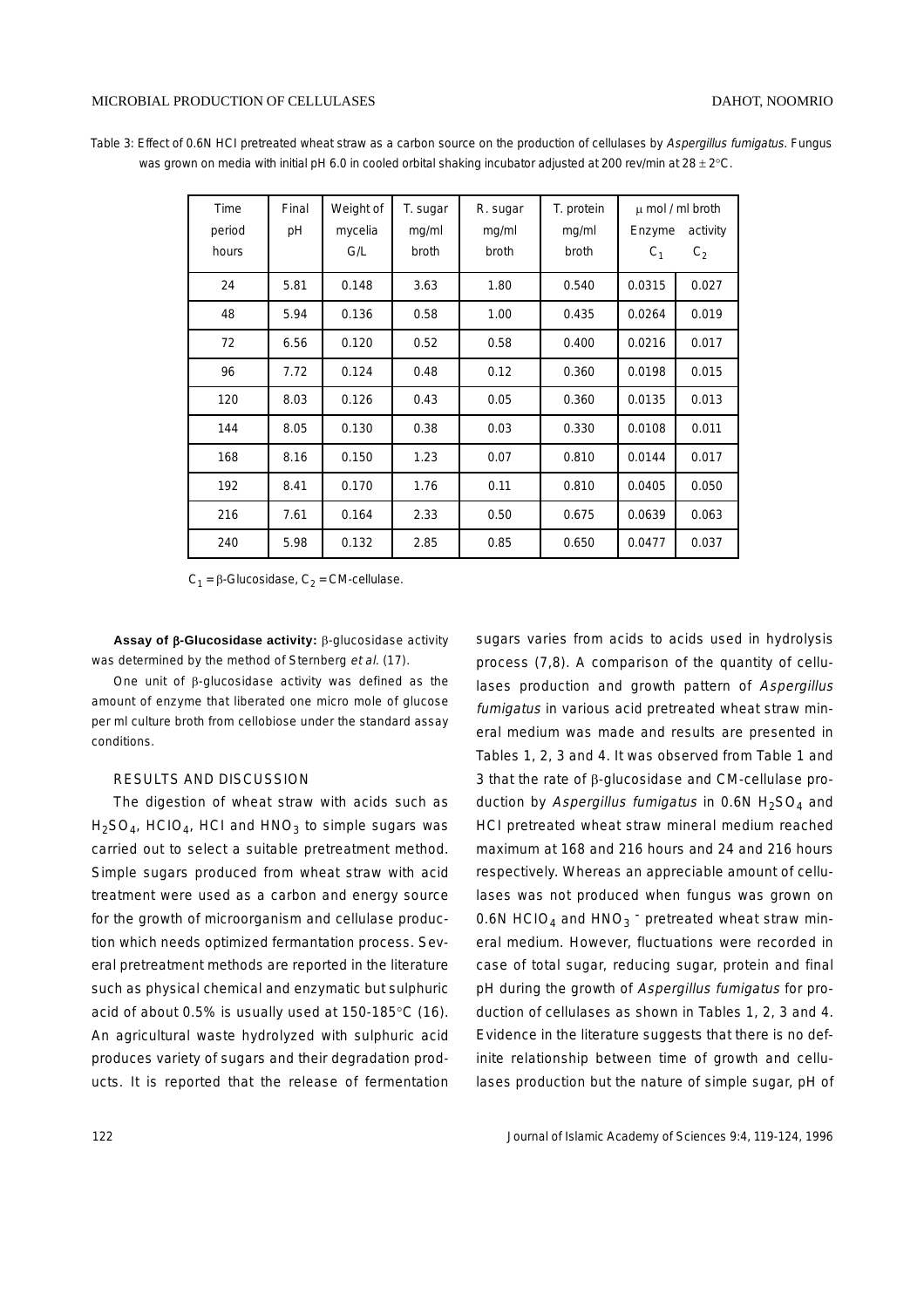| Table 3: Effect of 0.6N HCI pretreated wheat straw as a carbon source on the production of cellulases by Aspergillus fumigatus. Fungus |  |  |  |  |
|----------------------------------------------------------------------------------------------------------------------------------------|--|--|--|--|
| was grown on media with initial pH 6.0 in cooled orbital shaking incubator adjusted at 200 rev/min at 28 $\pm$ 2°C.                    |  |  |  |  |

| Time            | Final | Weight of      | T. sugar       | R. sugar       | T. protein     | $\mu$ mol / ml broth |                            |
|-----------------|-------|----------------|----------------|----------------|----------------|----------------------|----------------------------|
| period<br>hours | pH    | mycelia<br>G/L | mg/ml<br>broth | mg/ml<br>broth | mg/ml<br>broth | Enzyme<br>$C_1$      | activity<br>C <sub>2</sub> |
|                 |       |                |                |                |                |                      |                            |
| 24              | 5.81  | 0.148          | 3.63           | 1.80           | 0.540          | 0.0315               | 0.027                      |
| 48              | 5.94  | 0.136          | 0.58           | 1.00           | 0.435          | 0.0264               | 0.019                      |
| 72              | 6.56  | 0.120          | 0.52           | 0.58           | 0.400          | 0.0216               | 0.017                      |
| 96              | 7.72  | 0.124          | 0.48           | 0.12           | 0.360          | 0.0198               | 0.015                      |
| 120             | 8.03  | 0.126          | 0.43           | 0.05           | 0.360          | 0.0135               | 0.013                      |
| 144             | 8.05  | 0.130          | 0.38           | 0.03           | 0.330          | 0.0108               | 0.011                      |
| 168             | 8.16  | 0.150          | 1.23           | 0.07           | 0.810          | 0.0144               | 0.017                      |
| 192             | 8.41  | 0.170          | 1.76           | 0.11           | 0.810          | 0.0405               | 0.050                      |
| 216             | 7.61  | 0.164          | 2.33           | 0.50           | 0.675          | 0.0639               | 0.063                      |
| 240             | 5.98  | 0.132          | 2.85           | 0.85           | 0.650          | 0.0477               | 0.037                      |

 $C_1$  = β-Glucosidase,  $C_2$  = CM-cellulase.

**Assay of** β**-Glucosidase activity:** β-glucosidase activity was determined by the method of Sternberg et al. (17).

One unit of β-glucosidase activity was defined as the amount of enzyme that liberated one micro mole of glucose per ml culture broth from cellobiose under the standard assay conditions.

# RESULTS AND DISCUSSION

The digestion of wheat straw with acids such as  $H_2SO_4$ , HCIO<sub>4</sub>, HCI and HNO<sub>3</sub> to simple sugars was carried out to select a suitable pretreatment method. Simple sugars produced from wheat straw with acid treatment were used as a carbon and energy source for the growth of microorganism and cellulase production which needs optimized fermantation process. Several pretreatment methods are reported in the literature such as physical chemical and enzymatic but sulphuric acid of about 0.5% is usually used at 150-185°C (16). An agricultural waste hydrolyzed with sulphuric acid produces variety of sugars and their degradation products. It is reported that the release of fermentation

sugars varies from acids to acids used in hydrolysis process (7,8). A comparison of the quantity of cellulases production and growth pattern of Aspergillus fumigatus in various acid pretreated wheat straw mineral medium was made and results are presented in Tables 1, 2, 3 and 4. It was observed from Table 1 and 3 that the rate of β-glucosidase and CM-cellulase production by Aspergillus fumigatus in 0.6N  $H_2SO_4$  and HCI pretreated wheat straw mineral medium reached maximum at 168 and 216 hours and 24 and 216 hours respectively. Whereas an appreciable amount of cellulases was not produced when fungus was grown on 0.6N HCIO<sub>4</sub> and HNO<sub>3</sub> pretreated wheat straw mineral medium. However, fluctuations were recorded in case of total sugar, reducing sugar, protein and final pH during the growth of Aspergillus fumigatus for production of cellulases as shown in Tables 1, 2, 3 and 4. Evidence in the literature suggests that there is no definite relationship between time of growth and cellulases production but the nature of simple sugar, pH of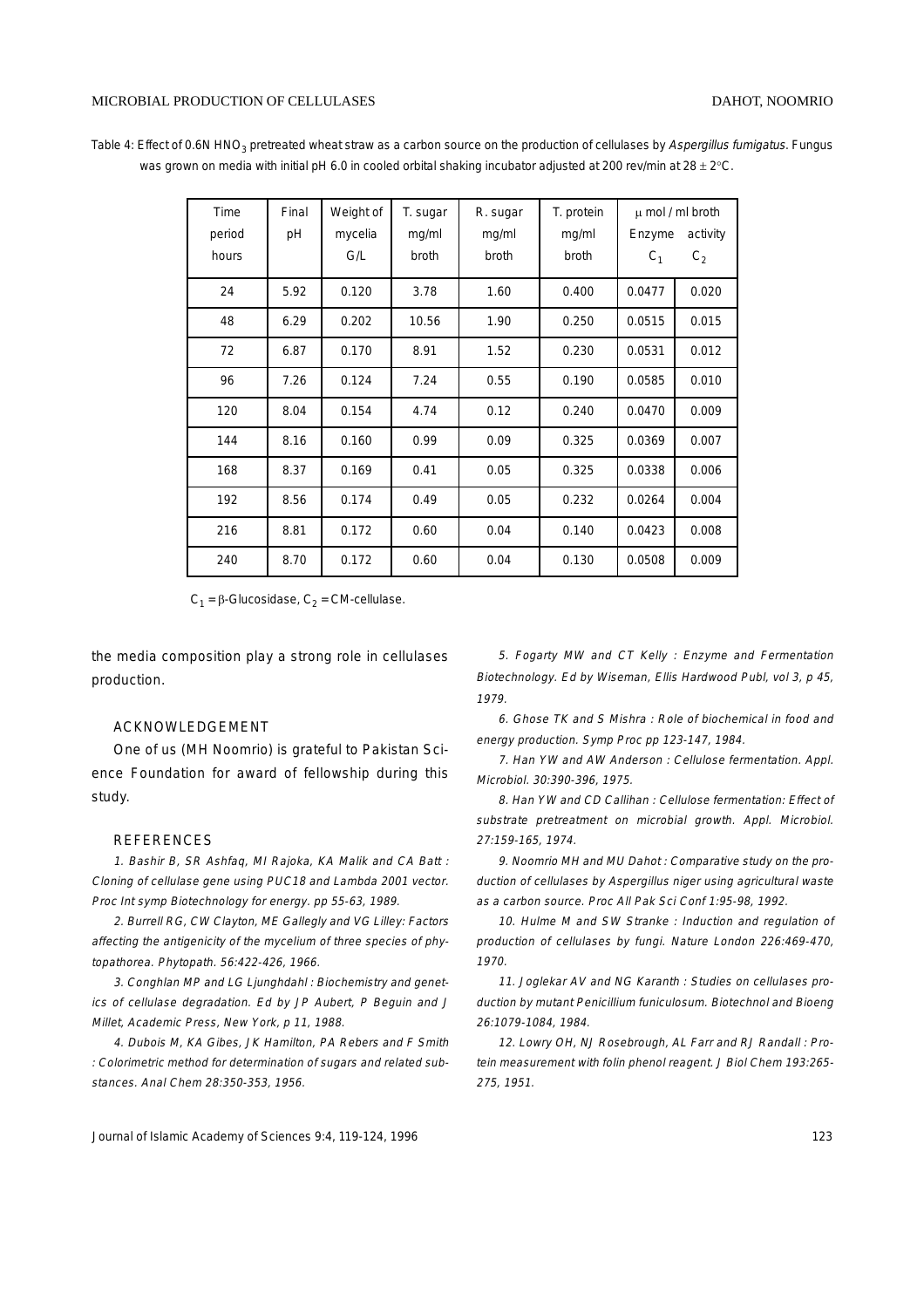Table 4: Effect of 0.6N HNO<sub>3</sub> pretreated wheat straw as a carbon source on the production of cellulases by Aspergillus fumigatus. Fungus was grown on media with initial pH 6.0 in cooled orbital shaking incubator adjusted at 200 rev/min at 28 ± 2°C.

| Time   | Final | Weight of | T. sugar | R. sugar | T. protein |                | $\mu$ mol / ml broth |
|--------|-------|-----------|----------|----------|------------|----------------|----------------------|
| period | pH    | mycelia   | mg/ml    | mg/ml    | mg/ml      | Enzyme         | activity             |
| hours  |       | G/L       | broth    | broth    | broth      | C <sub>1</sub> | $C_2$                |
| 24     | 5.92  | 0.120     | 3.78     | 1.60     | 0.400      | 0.0477         | 0.020                |
| 48     | 6.29  | 0.202     | 10.56    | 1.90     | 0.250      | 0.0515         | 0.015                |
| 72     | 6.87  | 0.170     | 8.91     | 1.52     | 0.230      | 0.0531         | 0.012                |
| 96     | 7.26  | 0.124     | 7.24     | 0.55     | 0.190      | 0.0585         | 0.010                |
| 120    | 8.04  | 0.154     | 4.74     | 0.12     | 0.240      | 0.0470         | 0.009                |
| 144    | 8.16  | 0.160     | 0.99     | 0.09     | 0.325      | 0.0369         | 0.007                |
| 168    | 8.37  | 0.169     | 0.41     | 0.05     | 0.325      | 0.0338         | 0.006                |
| 192    | 8.56  | 0.174     | 0.49     | 0.05     | 0.232      | 0.0264         | 0.004                |
| 216    | 8.81  | 0.172     | 0.60     | 0.04     | 0.140      | 0.0423         | 0.008                |
| 240    | 8.70  | 0.172     | 0.60     | 0.04     | 0.130      | 0.0508         | 0.009                |

 $C_1$  = β-Glucosidase,  $C_2$  = CM-cellulase.

the media composition play a strong role in cellulases production.

# ACKNOWLEDGEMENT

One of us (MH Noomrio) is grateful to Pakistan Science Foundation for award of fellowship during this study.

#### REFERENCES

1. Bashir B, SR Ashfaq, MI Rajoka, KA Malik and CA Batt : Cloning of cellulase gene using PUC18 and Lambda 2001 vector. Proc Int symp Biotechnology for energy. pp 55-63, 1989.

2. Burrell RG, CW Clayton, ME Gallegly and VG Lilley: Factors affecting the antigenicity of the mycelium of three species of phytopathorea. Phytopath. 56:422-426, 1966.

3. Conghlan MP and LG Ljunghdahl : Biochemistry and genetics of cellulase degradation. Ed by JP Aubert, P Beguin and J Millet, Academic Press, New York, p 11, 1988.

4. Dubois M, KA Gibes, JK Hamilton, PA Rebers and F Smith : Colorimetric method for determination of sugars and related substances. Anal Chem 28:350-353, 1956.

5. Fogarty MW and CT Kelly : Enzyme and Fermentation Biotechnology. Ed by Wiseman, Ellis Hardwood Publ, vol 3, p 45, 1979.

6. Ghose TK and S Mishra : Role of biochemical in food and energy production. Symp Proc pp 123-147, 1984.

7. Han YW and AW Anderson : Cellulose fermentation. Appl. Microbiol. 30:390-396, 1975.

8. Han YW and CD Callihan : Cellulose fermentation: Effect of substrate pretreatment on microbial growth. Appl. Microbiol. 27:159-165, 1974.

9. Noomrio MH and MU Dahot : Comparative study on the production of cellulases by Aspergillus niger using agricultural waste as a carbon source. Proc All Pak Sci Conf 1:95-98, 1992.

10. Hulme M and SW Stranke : Induction and regulation of production of cellulases by fungi. Nature London 226:469-470, 1970.

11. Joglekar AV and NG Karanth : Studies on cellulases production by mutant Penicillium funiculosum. Biotechnol and Bioeng 26:1079-1084, 1984.

12. Lowry OH, NJ Rosebrough, AL Farr and RJ Randall : Protein measurement with folin phenol reagent. J Biol Chem 193:265- 275, 1951.